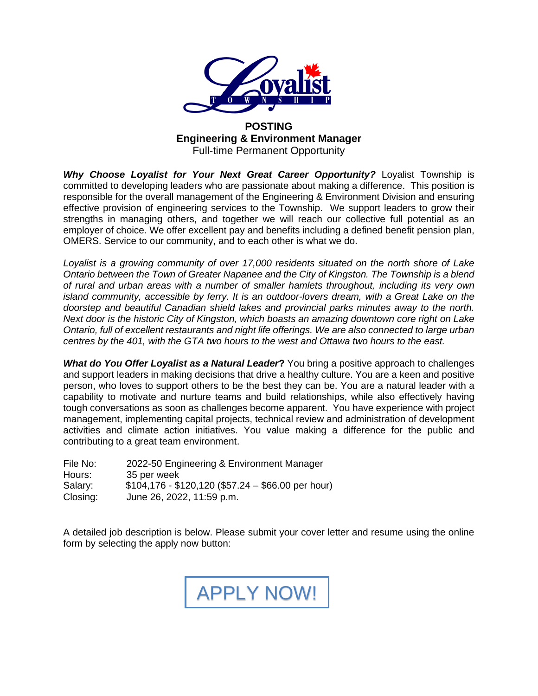

#### **POSTING Engineering & Environment Manager** Full-time Permanent Opportunity

*Why Choose Loyalist for Your Next Great Career Opportunity?* Loyalist Township is committed to developing leaders who are passionate about making a difference. This position is responsible for the overall management of the Engineering & Environment Division and ensuring effective provision of engineering services to the Township. We support leaders to grow their strengths in managing others, and together we will reach our collective full potential as an employer of choice. We offer excellent pay and benefits including a defined benefit pension plan, OMERS. Service to our community, and to each other is what we do.

*Loyalist is a growing community of over 17,000 residents situated on the north shore of Lake Ontario between the Town of Greater Napanee and the City of Kingston. The Township is a blend of rural and urban areas with a number of smaller hamlets throughout, including its very own island community, accessible by ferry. It is an outdoor-lovers dream, with a Great Lake on the doorstep and beautiful Canadian shield lakes and provincial parks minutes away to the north. Next door is the historic City of Kingston, which boasts an amazing downtown core right on Lake Ontario, full of excellent restaurants and night life offerings. We are also connected to large urban centres by the 401, with the GTA two hours to the west and Ottawa two hours to the east.* 

*What do You Offer Loyalist as a Natural Leader***?** You bring a positive approach to challenges and support leaders in making decisions that drive a healthy culture. You are a keen and positive person, who loves to support others to be the best they can be. You are a natural leader with a capability to motivate and nurture teams and build relationships, while also effectively having tough conversations as soon as challenges become apparent. You have experience with project management, implementing capital projects, technical review and administration of development activities and climate action initiatives. You value making a difference for the public and contributing to a great team environment.

| File No: | 2022-50 Engineering & Environment Manager          |
|----------|----------------------------------------------------|
| Hours:   | 35 per week                                        |
| Salary:  | $$104,176 - $120,120$ (\$57.24 - \$66.00 per hour) |
| Closing: | June 26, 2022, 11:59 p.m.                          |

A detailed job description is below. Please submit your cover letter and resume using the online form by selecting the apply now button:

[APPLY NOW!](https://forms.loyalisttownship.ca/Council-and-Administration/Employment-Application-Forms/2022-50-Engineering-and-Environment-Manager)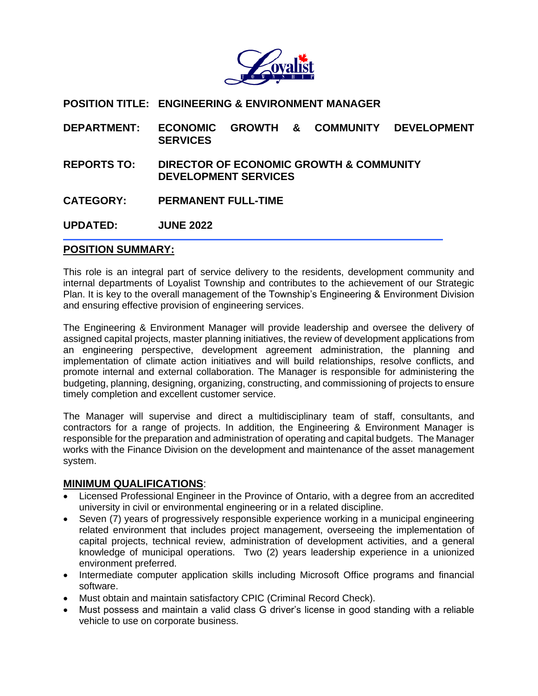

### **POSITION TITLE: ENGINEERING & ENVIRONMENT MANAGER**

- **DEPARTMENT: ECONOMIC GROWTH & COMMUNITY DEVELOPMENT SERVICES**
- **REPORTS TO: DIRECTOR OF ECONOMIC GROWTH & COMMUNITY DEVELOPMENT SERVICES**
- **CATEGORY: PERMANENT FULL-TIME**

**UPDATED: JUNE 2022**

#### **POSITION SUMMARY:**

This role is an integral part of service delivery to the residents, development community and internal departments of Loyalist Township and contributes to the achievement of our Strategic Plan. It is key to the overall management of the Township's Engineering & Environment Division and ensuring effective provision of engineering services.

The Engineering & Environment Manager will provide leadership and oversee the delivery of assigned capital projects, master planning initiatives, the review of development applications from an engineering perspective, development agreement administration, the planning and implementation of climate action initiatives and will build relationships, resolve conflicts, and promote internal and external collaboration. The Manager is responsible for administering the budgeting, planning, designing, organizing, constructing, and commissioning of projects to ensure timely completion and excellent customer service.

The Manager will supervise and direct a multidisciplinary team of staff, consultants, and contractors for a range of projects. In addition, the Engineering & Environment Manager is responsible for the preparation and administration of operating and capital budgets. The Manager works with the Finance Division on the development and maintenance of the asset management system.

#### **MINIMUM QUALIFICATIONS**:

- Licensed Professional Engineer in the Province of Ontario, with a degree from an accredited university in civil or environmental engineering or in a related discipline.
- Seven (7) years of progressively responsible experience working in a municipal engineering related environment that includes project management, overseeing the implementation of capital projects, technical review, administration of development activities, and a general knowledge of municipal operations. Two (2) years leadership experience in a unionized environment preferred.
- Intermediate computer application skills including Microsoft Office programs and financial software.
- Must obtain and maintain satisfactory CPIC (Criminal Record Check).
- Must possess and maintain a valid class G driver's license in good standing with a reliable vehicle to use on corporate business.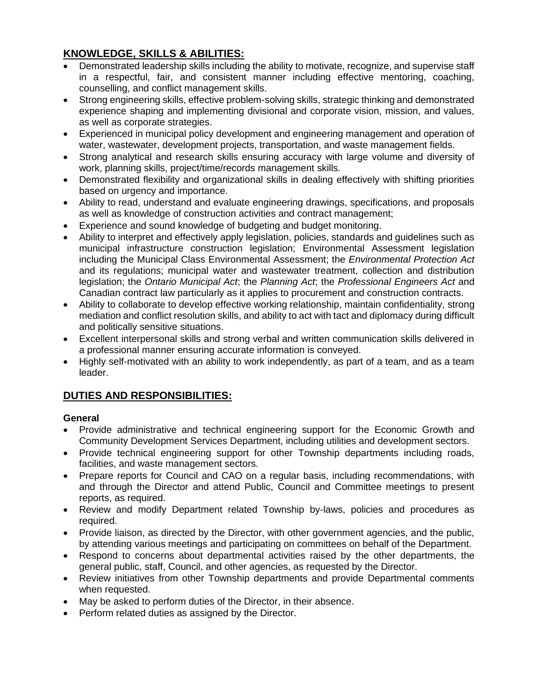## **KNOWLEDGE, SKILLS & ABILITIES:**

- Demonstrated leadership skills including the ability to motivate, recognize, and supervise staff in a respectful, fair, and consistent manner including effective mentoring, coaching, counselling, and conflict management skills.
- Strong engineering skills, effective problem-solving skills, strategic thinking and demonstrated experience shaping and implementing divisional and corporate vision, mission, and values, as well as corporate strategies.
- Experienced in municipal policy development and engineering management and operation of water, wastewater, development projects, transportation, and waste management fields.
- Strong analytical and research skills ensuring accuracy with large volume and diversity of work, planning skills, project/time/records management skills.
- Demonstrated flexibility and organizational skills in dealing effectively with shifting priorities based on urgency and importance.
- Ability to read, understand and evaluate engineering drawings, specifications, and proposals as well as knowledge of construction activities and contract management;
- Experience and sound knowledge of budgeting and budget monitoring.
- Ability to interpret and effectively apply legislation, policies, standards and guidelines such as municipal infrastructure construction legislation; Environmental Assessment legislation including the Municipal Class Environmental Assessment; the *Environmental Protection Act* and its regulations; municipal water and wastewater treatment, collection and distribution legislation; the *Ontario Municipal Act*; the *Planning Act*; the *Professional Engineers Act* and Canadian contract law particularly as it applies to procurement and construction contracts.
- Ability to collaborate to develop effective working relationship, maintain confidentiality, strong mediation and conflict resolution skills, and ability to act with tact and diplomacy during difficult and politically sensitive situations.
- Excellent interpersonal skills and strong verbal and written communication skills delivered in a professional manner ensuring accurate information is conveyed.
- Highly self-motivated with an ability to work independently, as part of a team, and as a team leader.

# **DUTIES AND RESPONSIBILITIES:**

## **General**

- Provide administrative and technical engineering support for the Economic Growth and Community Development Services Department, including utilities and development sectors.
- Provide technical engineering support for other Township departments including roads, facilities, and waste management sectors.
- Prepare reports for Council and CAO on a regular basis, including recommendations, with and through the Director and attend Public, Council and Committee meetings to present reports, as required.
- Review and modify Department related Township by-laws, policies and procedures as required.
- Provide liaison, as directed by the Director, with other government agencies, and the public, by attending various meetings and participating on committees on behalf of the Department.
- Respond to concerns about departmental activities raised by the other departments, the general public, staff, Council, and other agencies, as requested by the Director.
- Review initiatives from other Township departments and provide Departmental comments when requested.
- May be asked to perform duties of the Director, in their absence.
- Perform related duties as assigned by the Director.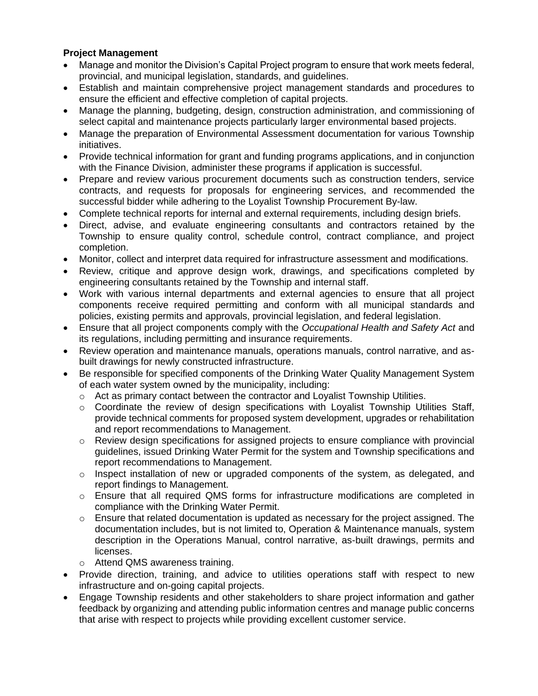### **Project Management**

- Manage and monitor the Division's Capital Project program to ensure that work meets federal, provincial, and municipal legislation, standards, and guidelines.
- Establish and maintain comprehensive project management standards and procedures to ensure the efficient and effective completion of capital projects.
- Manage the planning, budgeting, design, construction administration, and commissioning of select capital and maintenance projects particularly larger environmental based projects.
- Manage the preparation of Environmental Assessment documentation for various Township initiatives.
- Provide technical information for grant and funding programs applications, and in conjunction with the Finance Division, administer these programs if application is successful.
- Prepare and review various procurement documents such as construction tenders, service contracts, and requests for proposals for engineering services, and recommended the successful bidder while adhering to the Loyalist Township Procurement By-law.
- Complete technical reports for internal and external requirements, including design briefs.
- Direct, advise, and evaluate engineering consultants and contractors retained by the Township to ensure quality control, schedule control, contract compliance, and project completion.
- Monitor, collect and interpret data required for infrastructure assessment and modifications.
- Review, critique and approve design work, drawings, and specifications completed by engineering consultants retained by the Township and internal staff.
- Work with various internal departments and external agencies to ensure that all project components receive required permitting and conform with all municipal standards and policies, existing permits and approvals, provincial legislation, and federal legislation.
- Ensure that all project components comply with the *Occupational Health and Safety Act* and its regulations, including permitting and insurance requirements.
- Review operation and maintenance manuals, operations manuals, control narrative, and asbuilt drawings for newly constructed infrastructure.
- Be responsible for specified components of the Drinking Water Quality Management System of each water system owned by the municipality, including:
	- $\circ$  Act as primary contact between the contractor and Loyalist Township Utilities.
	- $\circ$  Coordinate the review of design specifications with Loyalist Township Utilities Staff, provide technical comments for proposed system development, upgrades or rehabilitation and report recommendations to Management.
	- o Review design specifications for assigned projects to ensure compliance with provincial guidelines, issued Drinking Water Permit for the system and Township specifications and report recommendations to Management.
	- $\circ$  Inspect installation of new or upgraded components of the system, as delegated, and report findings to Management.
	- $\circ$  Ensure that all required QMS forms for infrastructure modifications are completed in compliance with the Drinking Water Permit.
	- $\circ$  Ensure that related documentation is updated as necessary for the project assigned. The documentation includes, but is not limited to, Operation & Maintenance manuals, system description in the Operations Manual, control narrative, as-built drawings, permits and licenses.
	- o Attend QMS awareness training.
- Provide direction, training, and advice to utilities operations staff with respect to new infrastructure and on-going capital projects.
- Engage Township residents and other stakeholders to share project information and gather feedback by organizing and attending public information centres and manage public concerns that arise with respect to projects while providing excellent customer service.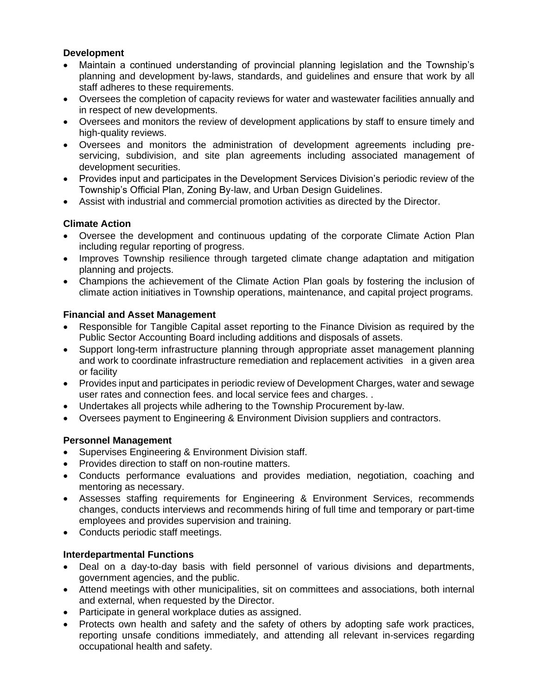#### **Development**

- Maintain a continued understanding of provincial planning legislation and the Township's planning and development by-laws, standards, and guidelines and ensure that work by all staff adheres to these requirements.
- Oversees the completion of capacity reviews for water and wastewater facilities annually and in respect of new developments.
- Oversees and monitors the review of development applications by staff to ensure timely and high-quality reviews.
- Oversees and monitors the administration of development agreements including preservicing, subdivision, and site plan agreements including associated management of development securities.
- Provides input and participates in the Development Services Division's periodic review of the Township's Official Plan, Zoning By-law, and Urban Design Guidelines.
- Assist with industrial and commercial promotion activities as directed by the Director.

## **Climate Action**

- Oversee the development and continuous updating of the corporate Climate Action Plan including regular reporting of progress.
- Improves Township resilience through targeted climate change adaptation and mitigation planning and projects.
- Champions the achievement of the Climate Action Plan goals by fostering the inclusion of climate action initiatives in Township operations, maintenance, and capital project programs.

### **Financial and Asset Management**

- Responsible for Tangible Capital asset reporting to the Finance Division as required by the Public Sector Accounting Board including additions and disposals of assets.
- Support long-term infrastructure planning through appropriate asset management planning and work to coordinate infrastructure remediation and replacement activities in a given area or facility
- Provides input and participates in periodic review of Development Charges, water and sewage user rates and connection fees. and local service fees and charges. .
- Undertakes all projects while adhering to the Township Procurement by-law.
- Oversees payment to Engineering & Environment Division suppliers and contractors.

## **Personnel Management**

- Supervises Engineering & Environment Division staff.
- Provides direction to staff on non-routine matters.
- Conducts performance evaluations and provides mediation, negotiation, coaching and mentoring as necessary.
- Assesses staffing requirements for Engineering & Environment Services, recommends changes, conducts interviews and recommends hiring of full time and temporary or part-time employees and provides supervision and training.
- Conducts periodic staff meetings.

## **Interdepartmental Functions**

- Deal on a day-to-day basis with field personnel of various divisions and departments, government agencies, and the public.
- Attend meetings with other municipalities, sit on committees and associations, both internal and external, when requested by the Director.
- Participate in general workplace duties as assigned.
- Protects own health and safety and the safety of others by adopting safe work practices, reporting unsafe conditions immediately, and attending all relevant in-services regarding occupational health and safety.